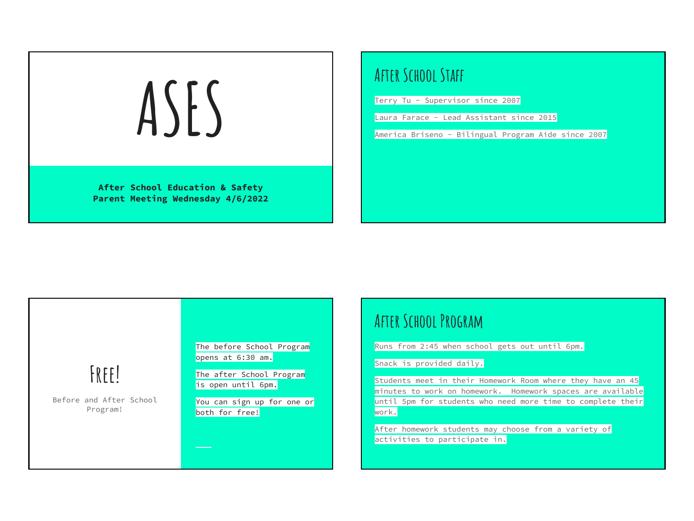

Terry Tu - Supervisor since 2007

Laura Farace - Lead Assistant since 2015

America Briseno - Bilingual Program Aide since 2007

# **Free!**

Before and After School Program!

The before School Program opens at 6:30 am.

The after School Program is open until 6pm.

You can sign up for one or both for free!

### **After School Program**

Runs from 2:45 when school gets out until 6pm.

Snack is provided daily.

Students meet in their Homework Room where they have an 45 minutes to work on homework. Homework spaces are available until 5pm for students who need more time to complete their work.

After homework students may choose from a variety of activities to participate in.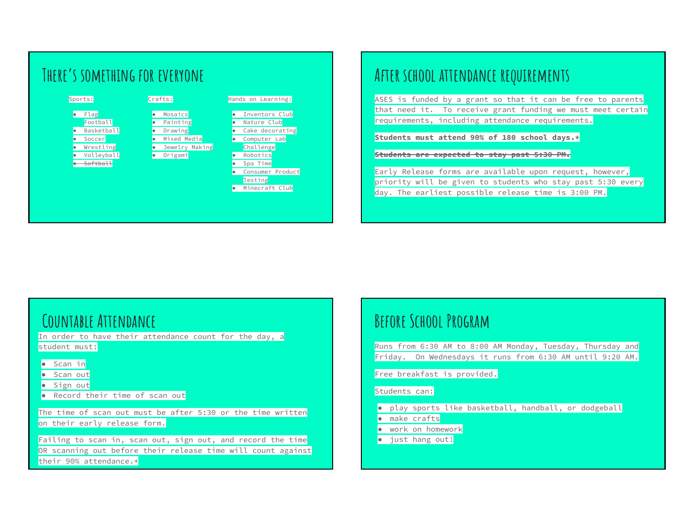

### **After school attendance requirements**

ASES is funded by a grant so that it can be free to parents that need it. To receive grant funding we must meet certain requirements, including attendance requirements.

**Students must attend 90% of 180 school days.\***

**Students are expected to stay past 5:30 PM.**

Early Release forms are available upon request, however, priority will be given to students who stay past 5:30 every day. The earliest possible release time is 3:00 PM.

### **Countable Attendance**

In order to have their attendance count for the day, a student must:

- Scan in
- Scan out
- Sign out
- Record their time of scan out

The time of scan out must be after 5:30 or the time written on their early release form.

Failing to scan in, scan out, sign out, and record the time OR scanning out before their release time will count against their 90% attendance.\*

### **Before School Program**

Runs from 6:30 AM to 8:00 AM Monday, Tuesday, Thursday and Friday. On Wednesdays it runs from 6:30 AM until 9:20 AM.

Free breakfast is provided.

### Students can:

- play sports like basketball, handball, or dodgeball
- make crafts
- work on homework
- just hang out!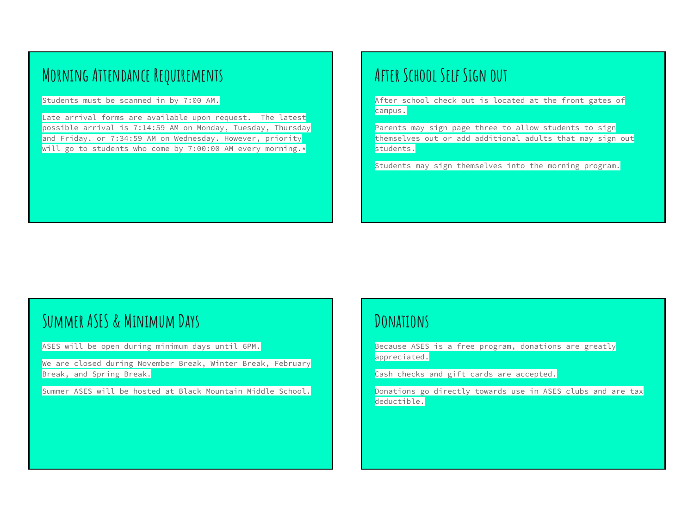## **Morning Attendance Requirements**

Students must be scanned in by 7:00 AM.

Late arrival forms are available upon request. The latest possible arrival is 7:14:59 AM on Monday, Tuesday, Thursday and Friday. or 7:34:59 AM on Wednesday. However, priority will go to students who come by 7:00:00 AM every morning.\*

### **After School Self Sign out**

After school check out is located at the front gates of campus.

Parents may sign page three to allow students to sign themselves out or add additional adults that may sign out students.

Students may sign themselves into the morning program.

### **Summer ASES & Minimum Days**

ASES will be open during minimum days until 6PM.

We are closed during November Break, Winter Break, February Break, and Spring Break.

Summer ASES will be hosted at Black Mountain Middle School.

### **Donations**

Because ASES is a free program, donations are greatly appreciated.

Cash checks and gift cards are accepted.

Donations go directly towards use in ASES clubs and are tax deductible.